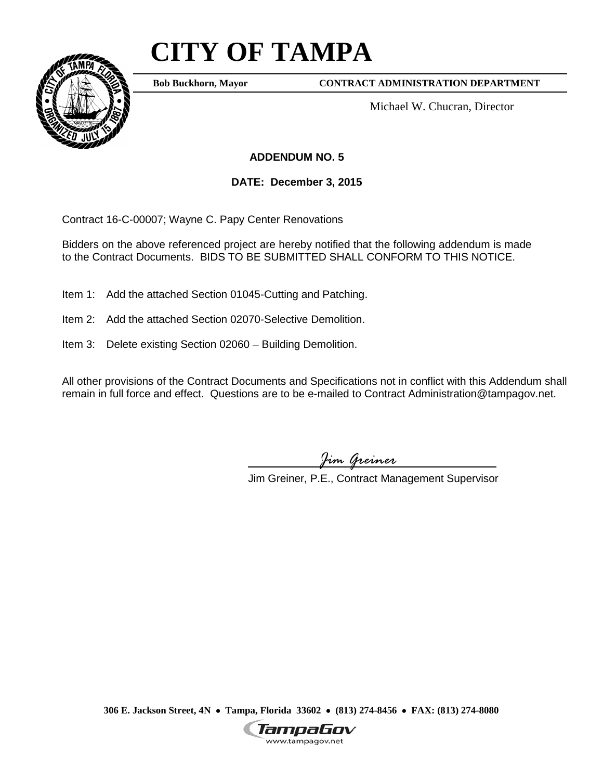# **CITY OF TAMPA**



**Bob Buckhorn, Mayor**

**CONTRACT ADMINISTRATION DEPARTMENT**

Michael W. Chucran, Director

## **ADDENDUM NO. 5**

**DATE: December 3, 2015**

Contract 16-C-00007; Wayne C. Papy Center Renovations

Bidders on the above referenced project are hereby notified that the following addendum is made to the Contract Documents. BIDS TO BE SUBMITTED SHALL CONFORM TO THIS NOTICE.

Item 1: Add the attached Section 01045-Cutting and Patching.

- Item 2: Add the attached Section 02070-Selective Demolition.
- Item 3: Delete existing Section 02060 Building Demolition.

All other provisions of the Contract Documents and Specifications not in conflict with this Addendum shall remain in full force and effect. Questions are to be e-mailed to Contract Administration@tampagov.net.

*Jim Greiner*

Jim Greiner, P.E., Contract Management Supervisor

**306 E. Jackson Street, 4N** • **Tampa, Florida 33602** • **(813) 274-8456** • **FAX: (813) 274-8080**

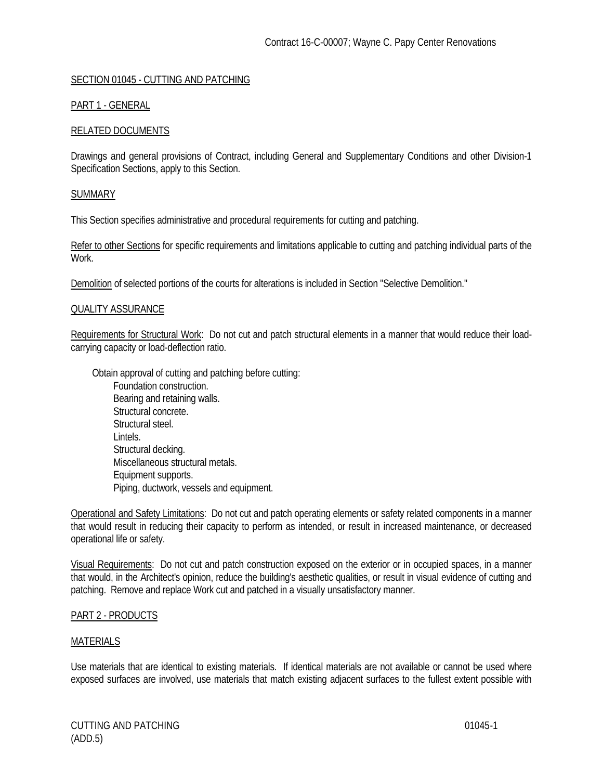## SECTION 01045 - CUTTING AND PATCHING

## PART 1 - GENERAL

## RELATED DOCUMENTS

Drawings and general provisions of Contract, including General and Supplementary Conditions and other Division-1 Specification Sections, apply to this Section.

## **SUMMARY**

This Section specifies administrative and procedural requirements for cutting and patching.

Refer to other Sections for specific requirements and limitations applicable to cutting and patching individual parts of the Work.

Demolition of selected portions of the courts for alterations is included in Section "Selective Demolition."

## QUALITY ASSURANCE

Requirements for Structural Work: Do not cut and patch structural elements in a manner that would reduce their loadcarrying capacity or load-deflection ratio.

Obtain approval of cutting and patching before cutting: Foundation construction. Bearing and retaining walls. Structural concrete. Structural steel. Lintels. Structural decking. Miscellaneous structural metals. Equipment supports. Piping, ductwork, vessels and equipment.

Operational and Safety Limitations: Do not cut and patch operating elements or safety related components in a manner that would result in reducing their capacity to perform as intended, or result in increased maintenance, or decreased operational life or safety.

Visual Requirements: Do not cut and patch construction exposed on the exterior or in occupied spaces, in a manner that would, in the Architect's opinion, reduce the building's aesthetic qualities, or result in visual evidence of cutting and patching. Remove and replace Work cut and patched in a visually unsatisfactory manner.

## PART 2 - PRODUCTS

## MATERIALS

Use materials that are identical to existing materials. If identical materials are not available or cannot be used where exposed surfaces are involved, use materials that match existing adjacent surfaces to the fullest extent possible with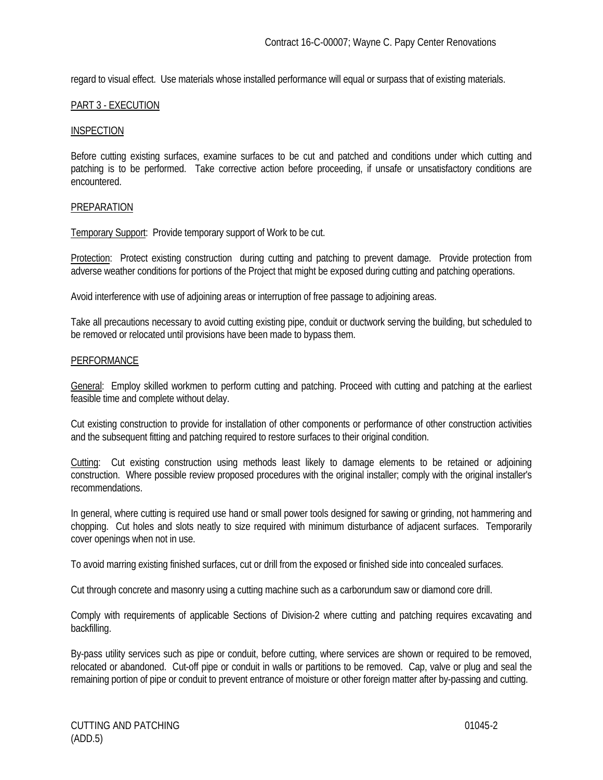regard to visual effect. Use materials whose installed performance will equal or surpass that of existing materials.

## PART 3 - EXECUTION

#### INSPECTION

Before cutting existing surfaces, examine surfaces to be cut and patched and conditions under which cutting and patching is to be performed. Take corrective action before proceeding, if unsafe or unsatisfactory conditions are encountered.

#### PREPARATION

Temporary Support: Provide temporary support of Work to be cut.

Protection: Protect existing construction during cutting and patching to prevent damage. Provide protection from adverse weather conditions for portions of the Project that might be exposed during cutting and patching operations.

Avoid interference with use of adjoining areas or interruption of free passage to adjoining areas.

Take all precautions necessary to avoid cutting existing pipe, conduit or ductwork serving the building, but scheduled to be removed or relocated until provisions have been made to bypass them.

#### **PERFORMANCE**

General: Employ skilled workmen to perform cutting and patching. Proceed with cutting and patching at the earliest feasible time and complete without delay.

Cut existing construction to provide for installation of other components or performance of other construction activities and the subsequent fitting and patching required to restore surfaces to their original condition.

Cutting: Cut existing construction using methods least likely to damage elements to be retained or adjoining construction. Where possible review proposed procedures with the original installer; comply with the original installer's recommendations.

In general, where cutting is required use hand or small power tools designed for sawing or grinding, not hammering and chopping. Cut holes and slots neatly to size required with minimum disturbance of adjacent surfaces. Temporarily cover openings when not in use.

To avoid marring existing finished surfaces, cut or drill from the exposed or finished side into concealed surfaces.

Cut through concrete and masonry using a cutting machine such as a carborundum saw or diamond core drill.

Comply with requirements of applicable Sections of Division-2 where cutting and patching requires excavating and backfilling.

By-pass utility services such as pipe or conduit, before cutting, where services are shown or required to be removed, relocated or abandoned. Cut-off pipe or conduit in walls or partitions to be removed. Cap, valve or plug and seal the remaining portion of pipe or conduit to prevent entrance of moisture or other foreign matter after by-passing and cutting.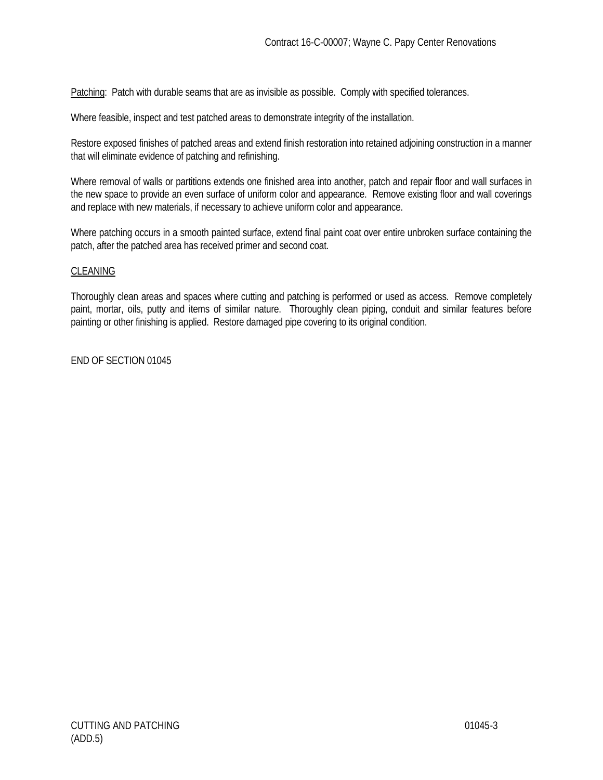Patching: Patch with durable seams that are as invisible as possible. Comply with specified tolerances.

Where feasible, inspect and test patched areas to demonstrate integrity of the installation.

Restore exposed finishes of patched areas and extend finish restoration into retained adjoining construction in a manner that will eliminate evidence of patching and refinishing.

Where removal of walls or partitions extends one finished area into another, patch and repair floor and wall surfaces in the new space to provide an even surface of uniform color and appearance. Remove existing floor and wall coverings and replace with new materials, if necessary to achieve uniform color and appearance.

Where patching occurs in a smooth painted surface, extend final paint coat over entire unbroken surface containing the patch, after the patched area has received primer and second coat.

## **CLEANING**

Thoroughly clean areas and spaces where cutting and patching is performed or used as access. Remove completely paint, mortar, oils, putty and items of similar nature. Thoroughly clean piping, conduit and similar features before painting or other finishing is applied. Restore damaged pipe covering to its original condition.

END OF SECTION 01045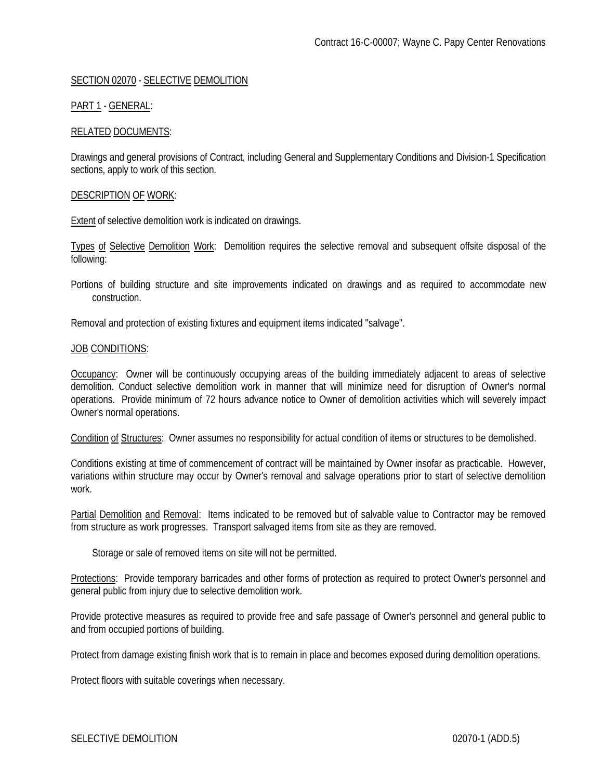## SECTION 02070 - SELECTIVE DEMOLITION

## PART 1 - GENERAL:

### RELATED DOCUMENTS:

Drawings and general provisions of Contract, including General and Supplementary Conditions and Division-1 Specification sections, apply to work of this section.

### DESCRIPTION OF WORK:

Extent of selective demolition work is indicated on drawings.

Types of Selective Demolition Work: Demolition requires the selective removal and subsequent offsite disposal of the following:

Portions of building structure and site improvements indicated on drawings and as required to accommodate new construction.

Removal and protection of existing fixtures and equipment items indicated "salvage".

#### JOB CONDITIONS:

Occupancy: Owner will be continuously occupying areas of the building immediately adjacent to areas of selective demolition. Conduct selective demolition work in manner that will minimize need for disruption of Owner's normal operations. Provide minimum of 72 hours advance notice to Owner of demolition activities which will severely impact Owner's normal operations.

Condition of Structures: Owner assumes no responsibility for actual condition of items or structures to be demolished.

Conditions existing at time of commencement of contract will be maintained by Owner insofar as practicable. However, variations within structure may occur by Owner's removal and salvage operations prior to start of selective demolition work.

Partial Demolition and Removal: Items indicated to be removed but of salvable value to Contractor may be removed from structure as work progresses. Transport salvaged items from site as they are removed.

Storage or sale of removed items on site will not be permitted.

Protections: Provide temporary barricades and other forms of protection as required to protect Owner's personnel and general public from injury due to selective demolition work.

Provide protective measures as required to provide free and safe passage of Owner's personnel and general public to and from occupied portions of building.

Protect from damage existing finish work that is to remain in place and becomes exposed during demolition operations.

Protect floors with suitable coverings when necessary.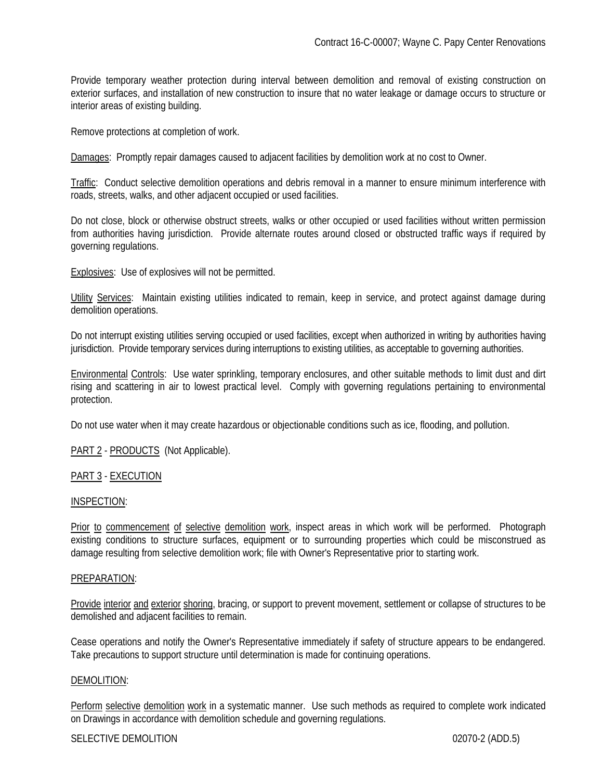Provide temporary weather protection during interval between demolition and removal of existing construction on exterior surfaces, and installation of new construction to insure that no water leakage or damage occurs to structure or interior areas of existing building.

Remove protections at completion of work.

Damages: Promptly repair damages caused to adjacent facilities by demolition work at no cost to Owner.

Traffic: Conduct selective demolition operations and debris removal in a manner to ensure minimum interference with roads, streets, walks, and other adjacent occupied or used facilities.

Do not close, block or otherwise obstruct streets, walks or other occupied or used facilities without written permission from authorities having jurisdiction. Provide alternate routes around closed or obstructed traffic ways if required by governing regulations.

Explosives: Use of explosives will not be permitted.

Utility Services: Maintain existing utilities indicated to remain, keep in service, and protect against damage during demolition operations.

Do not interrupt existing utilities serving occupied or used facilities, except when authorized in writing by authorities having jurisdiction. Provide temporary services during interruptions to existing utilities, as acceptable to governing authorities.

Environmental Controls: Use water sprinkling, temporary enclosures, and other suitable methods to limit dust and dirt rising and scattering in air to lowest practical level. Comply with governing regulations pertaining to environmental protection.

Do not use water when it may create hazardous or objectionable conditions such as ice, flooding, and pollution.

PART 2 - PRODUCTS (Not Applicable).

## PART 3 - EXECUTION

#### INSPECTION:

Prior to commencement of selective demolition work, inspect areas in which work will be performed. Photograph existing conditions to structure surfaces, equipment or to surrounding properties which could be misconstrued as damage resulting from selective demolition work; file with Owner's Representative prior to starting work.

#### PREPARATION:

Provide interior and exterior shoring, bracing, or support to prevent movement, settlement or collapse of structures to be demolished and adjacent facilities to remain.

Cease operations and notify the Owner's Representative immediately if safety of structure appears to be endangered. Take precautions to support structure until determination is made for continuing operations.

#### DEMOLITION:

Perform selective demolition work in a systematic manner. Use such methods as required to complete work indicated on Drawings in accordance with demolition schedule and governing regulations.

#### SELECTIVE DEMOLITION 6-1000 02070-2 (ADD.5)